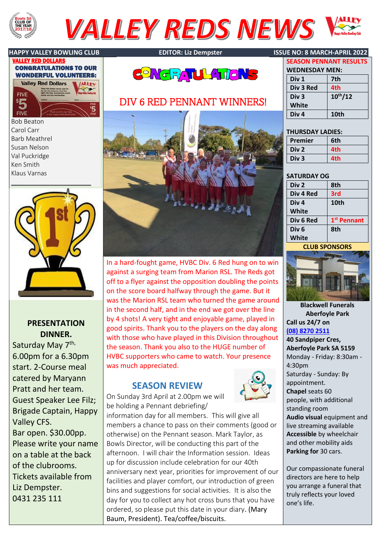

# **VALLEY REDS NEWS**





Bob Beaton Carol Carr Barb Meathrel Susan Nelson Val Puckridge Ken Smith Klaus Varnas



## **PRESENTATION DINNER.**

Saturday May 7<sup>th,</sup> 6.00pm for a 6.30pm start. 2-Course meal catered by Maryann Pratt and her team. Guest Speaker Lee Filz; Brigade Captain, Happy Valley CFS. Bar open. \$30.00pp. Please write your name on a table at the back of the clubrooms. Tickets available from Liz Dempster. 0431 235 111





# DIV 6 RED PENNANT WINNERS!



In a hard-fought game, HVBC Div. 6 Red hung on to win against a surging team from Marion RSL. The Reds got off to a flyer against the opposition doubling the points on the score board halfway through the game. But it was the Marion RSL team who turned the game around in the second half, and in the end we got over the line by 4 shots! A very tight and enjoyable game, played in good spirits. Thank you to the players on the day along with those who have played in this Division throughout the season. Thank you also to the HUGE number of HVBC supporters who came to watch. Your presence was much appreciated.

# **SEASON REVIEW**



On Sunday 3rd April at 2.00pm we will be holding a Pennant debriefing/

information day for all members. This will give all members a chance to pass on their comments (good or otherwise) on the Pennant season. Mark Taylor, as Bowls Director, will be conducting this part of the afternoon. I will chair the Information session. Ideas up for discussion include celebration for our 40th anniversary next year, priorities for improvement of our facilities and player comfort, our introduction of green bins and suggestions for social activities. It is also the day for you to collect any hot cross buns that you have ordered, so please put this date in your diary. (Mary Baum, President). Tea/coffee/biscuits.

## **HAPPY VALLEY BOWLING CLUB EDITOR: Liz Dempster ISSUE NO: 8 MARCH-APRIL 2022**

| <b>WEDNESDAY MEN:</b> |              |  |
|-----------------------|--------------|--|
| Div <sub>1</sub>      | 7th          |  |
| Div 3 Red             | 4th          |  |
| Div <sub>3</sub>      | $10^{th}/12$ |  |
| White                 |              |  |
| Div <sub>4</sub>      | 10th         |  |

**SEASON PENNANT RESULTS**

## **THURSDAY LADIES:**

| Premier          | 6th |
|------------------|-----|
| Div <sub>2</sub> | 4th |
| Div <sub>3</sub> | 4th |

## **SATURDAY OG**

| Div <sub>2</sub> | 8th                     |
|------------------|-------------------------|
| Div 4 Red        | 3rd                     |
| Div <sub>4</sub> | 10th                    |
| White            |                         |
| Div 6 Red        | 1 <sup>st</sup> Pennant |
| Div <sub>6</sub> | 8th                     |
| White            |                         |
|                  |                         |

### **CLUB SPONSORS**



**Blackwell Funerals Aberfoyle Park Call us 24/7 on [\(08\) 8270 2511](tel:0882702511)**

**40 Sandpiper Cres, Aberfoyle Park SA 5159** Monday - Friday: 8:30am - 4:30pm Saturday - Sunday: By appointment. **Chapel**seats 60 people, with additional standing room **Audio visual** equipment and live streaming available **Accessible** by wheelchair and other mobility aids **Parking for** 30 cars.

Our compassionate funeral directors are here to help you arrange a funeral that truly reflects your loved one's life.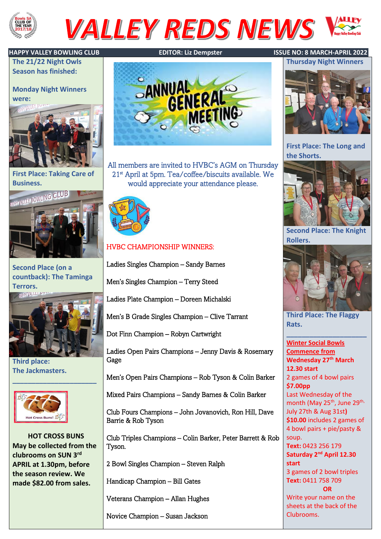

# **VALLEY REDS NEWS**

**The 21/22 Night Owls Season has finished:**

**Monday Night Winners were:**



**First Place: Taking Care of** 



**Second Place (on a countback): The Taminga Terrors.**



**\_\_\_\_\_\_\_\_\_\_\_\_\_\_\_\_\_\_\_\_\_\_**

**Third place: The Jackmasters.**



**HOT CROSS BUNS May be collected from the clubrooms on SUN 3rd APRIL at 1.30pm, before the season review. We made \$82.00 from sales.**



All members are invited to HVBC's AGM on Thursday 21st April at 5pm. Tea/coffee/biscuits available. We would appreciate your attendance please.



# HVBC CHAMPIONSHIP WINNERS:

Ladies Singles Champion – Sandy Barnes

Men's Singles Champion – Terry Steed

Ladies Plate Champion – Doreen Michalski

Men's B Grade Singles Champion – Clive Tarrant

Dot Finn Champion – Robyn Cartwright

Ladies Open Pairs Champions – Jenny Davis & Rosemary Gage

Men's Open Pairs Champions – Rob Tyson & Colin Barker

Mixed Pairs Champions – Sandy Barnes & Colin Barker

Club Fours Champions – John Jovanovich, Ron Hill, Dave Barrie & Rob Tyson

Club Triples Champions – Colin Barker, Peter Barrett & Rob Tyson.

2 Bowl Singles Champion – Steven Ralph

Handicap Champion – Bill Gates

Veterans Champion – Allan Hughes

Novice Champion – Susan Jackson

## **HAPPY VALLEY BOWLING CLUB EDITOR: Liz Dempster ISSUE NO: 8 MARCH-APRIL 2022**



**First Place: The Long and the Shorts.**



**Second Place: The Knight Rollers.**



**Third Place: The Flaggy Rats.**

**\_\_\_\_\_\_\_\_\_\_\_\_\_\_\_\_\_\_\_\_\_**

**Winter Social Bowls Commence from Wednesday 27th March 12.30 start** 2 games of 4 bowl pairs **\$7.00pp** Last Wednesday of the month (May 25<sup>th</sup>, June 29<sup>th,</sup> July 27th & Aug 31st**) \$10.00** includes 2 games of 4 bowl pairs + pie/pasty & soup. **Text:** 0423 256 179 **Saturday 2nd April 12.30 start** 3 games of 2 bowl triples **Text:** 0411 758 709 **OR** Write your name on the sheets at the back of the Clubrooms.